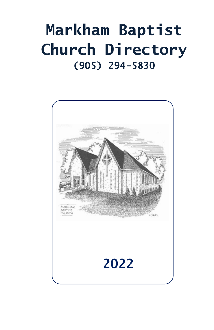# **Markham Baptist Church Directory (905) 294-5830**

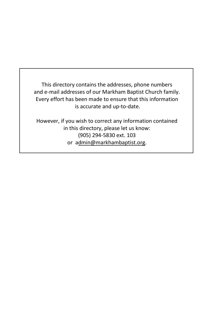This directory contains the addresses, phone numbers and e-mail addresses of our Markham Baptist Church family. Every effort has been made to ensure that this information is accurate and up-to-date.

However, if you wish to correct any information contained in this directory, please let us know: (905) 294-5830 ext. 103 or admin@markhambaptist.org.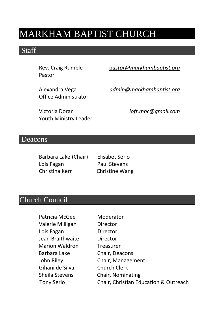## MARKHAM BAPTIST CHURCH

### **Staff**

Pastor

Rev. Craig Rumble p*astor@markhambaptist.org*

Alexandra Vega *admin@markhambaptist.org* Office Administrator

Youth Ministry Leader

Victoria Doran *loft.mbc@gmail.com*

#### Deacons

Barbara Lake (Chair) Elisabet Serio Lois Fagan Paul Stevens Christina Kerr Christine Wang

### Church Council

| Patricia McGee        | Moderator                             |
|-----------------------|---------------------------------------|
| Valerie Milligan      | Director                              |
| Lois Fagan            | Director                              |
| Jean Braithwaite      | Director                              |
| <b>Marion Waldron</b> | Treasurer                             |
| Barbara Lake          | Chair, Deacons                        |
| John Riley            | Chair, Management                     |
| Gihani de Silva       | <b>Church Clerk</b>                   |
| Sheila Stevens        | Chair, Nominating                     |
| <b>Tony Serio</b>     | Chair, Christian Education & Outreach |
|                       |                                       |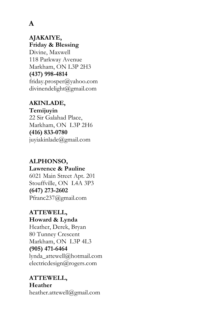### **A**

### **AJAKAIYE, Friday & Blessing**  Divine, Maxwell 118 Parkway Avenue Markham, ON L3P 2H3 **(437) 998-4814** friday.prosper@yahoo.com

divinendelight@gmail.com

### **AKINLADE,**

**Temijuyin** 22 Sir Galahad Place, Markham, ON L3P 2H6 **(416) 833-0780** juyiakinlade@gmail.com

### **ALPHONSO,**

#### **Lawrence & Pauline**

6021 Main Street Apt. 201 Stouffville, ON L4A 3P3 **(647) 273-2602** Pfranc237@gmail.com

### **ATTEWELL,**

**Howard & Lynda** Heather, Derek, Bryan 80 Tunney Crescent Markham, ON L3P 4L3 **(905) 471-6464** lynda\_attewell@hotmail.com electricdesign@rogers.com

### **ATTEWELL,**

**Heather** heather.attewell@gmail.com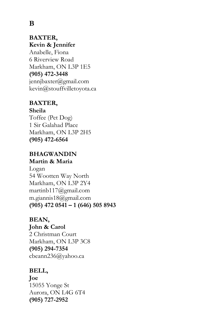### **BAXTER, Kevin & Jennifer**

Anabelle, Fiona 6 Riverview Road Markham, ON L3P 1E5 **(905) 472-3448** jennjbaxter@gmail.com kevin@stouffvilletoyota.ca

### **BAXTER,**

**Sheila** Toffee (Pet Dog) 1 Sir Galahad Place Markham, ON L3P 2H5 **(905) 472-6564**

#### **BHAGWANDIN Martin & Maria**

Logan 54 Wootten Way North Markham, ON L3P 2Y4 martinb117@gmail.com m.giannis18@gmail.com **(905) 472 0541 – 1 (646) 505 8943**

### **BEAN, John & Carol** 2 Christman Court Markham, ON L3P 3C8 **(905) 294-7354** cbeann236@yahoo.ca

### **BELL,**

**Joe** 15055 Yonge St Aurora, ON L4G 6T4 **(905) 727-2952**

### **B**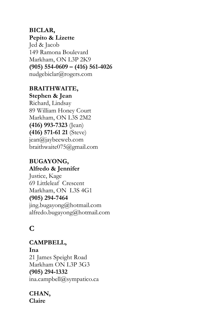### **BICLAR, Pepito & Lizette** Jed & Jacob 149 Ramona Boulevard Markham, ON L3P 2K9 **(905) 554-0609 – (416) 561-4026**

nudgebiclar@rogers.com

### **BRAITHWAITE, Stephen & Jean**

Richard, Lindsay 89 William Honey Court Markham, ON L3S 2M2 **(416) 993-7323** (Jean) **(416) 571-61 21** (Steve) jean@jaybeeweb.com braithwaite075@gmail.com

### **BUGAYONG, Alfredo & Jennifer**

Justice, Kage 69 Littleleaf Crescent Markham, ON L3S 4G1 **(905) 294-7464** jing.bugayong@hotmail.com alfredo.bugayong@hotmail.com

### **C**

**CAMPBELL, Ina** 21 James Speight Road Markham ON L3P 3G3 **(905) 294-1332** ina.campbell@sympatico.ca

#### **CHAN, Claire**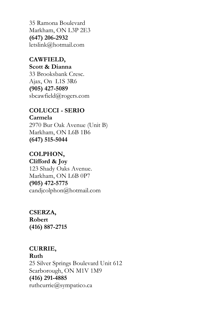35 Ramona Boulevard Markham, ON L3P 2E3 **(647) 206-2932** letslink@hotmail.com

**CAWFIELD, Scott & Dianna** 33 Brooksbank Cresc. Ajax, On L1S 3R6 **(905) 427-5089** sbcawfield@rogers.com

### **COLUCCI - SERIO Carmela** 2970 Bur Oak Avenue (Unit B) Markham, ON L6B 1B6 **(647) 515-5044**

### **COLPHON,**

**Clifford & Joy** 123 Shady Oaks Avenue. Markham, ON L6B 0P7 **(905) 472-5775** candjcolphon@hotmail.com

**CSERZA, Robert (416) 887-2715**

### **CURRIE, Ruth**  25 Silver Springs Boulevard Unit 612 Scarborough, ON M1V 1M9 **(416) 291-4885** [ruthcurrie@sympatico.ca](mailto:ruthcurrie@sympatico.ca)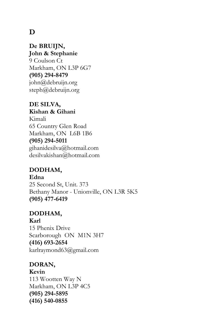### **D**

**De BRUIJN, John & Stephanie** 9 Coulson Ct Markham, ON L3P 6G7 **(905) 294-8479** john@debruijn.org steph@debruijn.org

#### **DE SILVA, Kishan & Gihani**

Kimali 65 Country Glen Road Markham, ON L6B 1B6 **(905) 294-5011** gihanidesilva@hotmail.com desilvakishan@hotmail.com

### **DODHAM,**

**Edna** 25 Second St, Unit. 373 Bethany Manor - Unionville, ON L3R 5K5 **(905) 477-6419**

#### **DODHAM,**

**Karl** 15 Phenix Drive Scarborough ON M1N 3H7 **(416) 693-2654** karlraymond63@gmail.com

### **DORAN, Kevin** 113 Wootten Way N Markham, ON L3P 4C5 **(905) 294-5895 (416) 540-0855**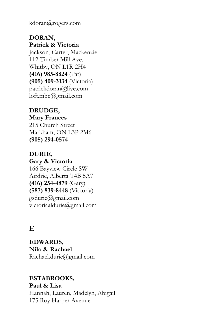kdoran@rogers.com

**DORAN, Patrick & Victoria** Jackson, Carter, Mackenzie 112 Timber Mill Ave. Whitby, ON L1R 2H4 **(416) 985-8824** (Pat) **(905) 409-3134** (Victoria) patrickdoran@live.com loft.mbc@gmail.com

**DRUDGE, Mary Frances** 215 Church Street Markham, ON L3P 2M6 **(905) 294-0574**

**DURIE, Gary & Victoria** 166 Bayview Circle SW Airdrie, Alberta T4B 5A7 **(416) 254-4879** (Gary) **(587) 839-8448** (Victoria) [gsdurie@gmail.com](mailto:gsdurie@gmail.com) victoriaaldurie@gmail.com

### **E**

**EDWARDS, Nilo & Rachael** Rachael.durie@gmail.com

### **ESTABROOKS,**

**Paul & Lisa** Hannah, Lauren, Madelyn, Abigail 175 Roy Harper Avenue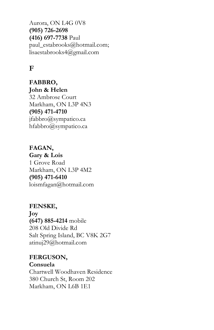Aurora, ON L4G 0V8 **(905) 726-2698 (416) 697-7738** Paul paul\_estabrooks@hotmail.com; lisaestabrooks4@gmail.com

### **F**

**FABBRO, John & Helen** 32 Ambrose Court Markham, ON L3P 4N3 **(905) 471-4710** jfabbro@sympatico.ca hfabbro@sympatico.ca

**FAGAN, Gary & Lois** 1 Grove Road Markham, ON L3P 4M2 **(905) 471-6410** loismfagan@hotmail.com

**FENSKE, Joy (647) 885-4214** mobile 208 Old Divide Rd Salt Spring Island, BC V8K 2G7 atinuj29@hotmail.com

**FERGUSON, Consuela**  Chartwell Woodhaven Residence 380 Church St, Room 202 Markham, ON L6B 1E1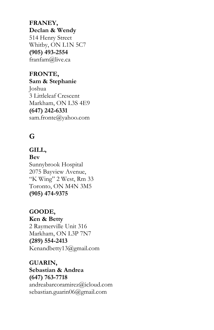**FRANEY, Declan & Wendy** 514 Henry Street Whitby, ON L1N 5C7 **(905) 493-2554** franfam@live.ca

**FRONTE, Sam & Stephanie** Joshua 3 Littleleaf Crescent Markham, ON L3S 4E9 **(647) 242-6331** [sam.fronte@yahoo.com](mailto:sam.fronte@yahoo.com)

### **G**

**GILL, Bev** Sunnybrook Hospital 2075 Bayview Avenue, "K Wing" 2 West, Rm 33 Toronto, ON M4N 3M5 **(905) 474-9375**

**GOODE, Ken & Betty**  2 Raymerville Unit 316 Markham, ON L3P 7N7 **(289) 554-2413** Kenandbetty13@gmail.com

**GUARIN, Sebastian & Andrea (647) 763-7718** andreabarcoramirez@icloud.com sebastian.guarin06@gmail.com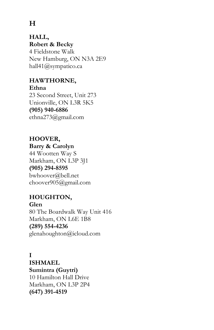### **H**

### **HALL, Robert & Becky** 4 Fieldstone Walk New Hamburg, ON N3A 2E9 hall41@sympatico.ca

### **HAWTHORNE,**

**Ethna**  23 Second Street, Unit 273 Unionville, ON L3R 5K5 **(905) 940-6886** ethna273@gmail.com

### **HOOVER,**

### **Barry & Carolyn** 44 Wootten Way S Markham, ON L3P 3J1 **(905) 294-8595** bwhoover@bell.net choover905@gmail.com

### **HOUGHTON, Glen**

80 The Boardwalk Way Unit 416 Markham, ON L6E 1B8 **(289) 554-4236** [glenahoughton@icloud.com](mailto:glenahoughton@icloud.com)

### **I**

**ISHMAEL Sumintra (Guytri)**  10 Hamilton Hall Drive Markham, ON L3P 2P4 **(647) 391-4519**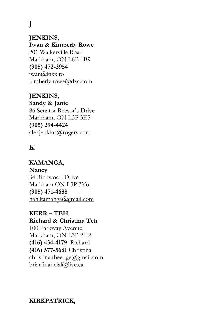**J**

**JENKINS, Iwan & Kimberly Rowe** 201 Walkerville Road Markham, ON L6B 1B9 **(905) 472-3954** iwan@kixx.to kimberly.rowe@dxc.com

**JENKINS, Sandy & Janie** 86 Senator Reesor's Drive Markham, ON L3P 3E5 **(905) 294-4424** alexjenkins@rogers.com

### **K**

**KAMANGA, Nancy** 34 Richwood Drive Markham ON L3P 3Y6 **(905) 471-4688** [nan.kamanga@gmail.com](mailto:nan.kamanga@gmail.com)

**KERR – TEH Richard & Christina Teh** 100 Parkway Avenue Markham, ON L3P 2H2 **(416) 434-4179** Richard **(416) 577-5681** Christina christina.theedge@gmail.com briarfinancial@live.ca

#### **KIRKPATRICK,**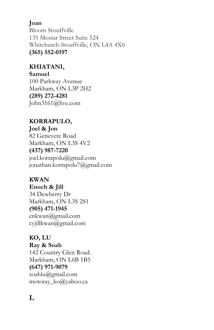### **Joan**

Bloom Stouffville 135 Mostar Street Suite 524 Whitchurch-Stouffville, ON L4A 4X6 **(365) 552-0197**

### **KHIATANI,**

**Samuel**

100 Parkway Avenue Markham, ON L3P 2H2 **(289) 272-4281** John3161@live.com

### **KORRAPULO,**

**Joel & Jon** 82 Genevere Road Markham, ON L3S 4V2 **(437) 987-7220** joel.korrapolu@gmail.com jonathan.korrapolu7@gmail.com

### **KWAN**

**Enoch & Jill** 34 Dewberry Dr Markham, ON L3S 2S1 **(905) 471-1945** enkwan@gmail.com cyjillkwan@gmail.com

### **KO, LU**

**Ray & Soah** 142 Country Glen Road. Markham, ON L6B 1B5 **(647) 971-9079** soahlu@gmail.com motoray\_ko@yahoo.ca

### **L**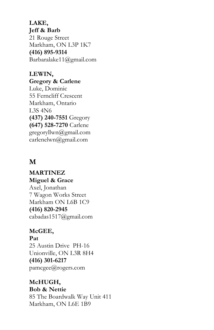**LAKE, Jeff & Barb** 21 Rouge Street Markham, ON L3P 1K7 **(416) 895-9314** Barbaralake11@gmail.com

**LEWIN, Gregory & Carlene** Luke, Dominic 55 Ferncliff Crescent Markham, Ontario L3S 4N6 **(437) 240-7551** Gregory **(647) 528-7270** Carlene gregoryllwn@gmail.com carlenelwn@gmail.com

### **M**

**MARTINEZ Miguel & Grace** Axel, Jonathan 7 Wagon Works Street Markham ON L6B 1C9 **(416) 820-2945** cabadas1517@gmail.com

#### **McGEE,**

**Pat** 25 Austin Drive PH-16 Unionville, ON L3R 8H4 **(416) 301-6217** pamcgee@rogers.com

### **McHUGH,**

**Bob & Nettie**

85 The Boardwalk Way Unit 411 Markham, ON L6E 1B9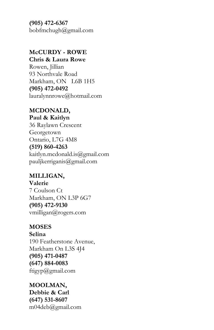**(905) 472-6367** bobfmchugh@gmail.com

### **McCURDY - ROWE**

**Chris & Laura Rowe**

Rowen, Jillian 93 Northvale Road Markham, ON L6B 1H5 **(905) 472-0492** lauralynnrowe@hotmail.com

#### **MCDONALD,**

**Paul & Kaitlyn** 36 Raylawn Crescent Georgetown Ontario, L7G 4M8 **(519) 860-4263** kaitlyn.mcdonald.is@gmail.com pauljkerriganis@gmail.com

**MILLIGAN, Valerie** 7 Coulson Ct Markham, ON L3P 6G7 **(905) 472-9130** vmilligan@rogers.com

### **MOSES**

**Selina** 190 Featherstone Avenue, Markham On L3S 4J4 **(905) 471-0487 (647) 884-0083** ftigyp@gmail.com

**MOOLMAN, Debbie & Carl (647) 531-8607** m04deb@gmail.com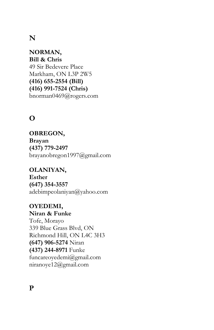### **N**

**NORMAN, Bill & Chris** 49 Sir Bedevere Place Markham, ON L3P 2W5 **(416) 655-2554 (Bill) (416) 991-7524 (Chris)** bnorman0469@rogers.com

### **O**

**OBREGON, Brayan (437) 779-2497** brayanobregon1997@gmail.com

**OLANIYAN, Esther (647) 354-3557** adebimpeolaniyan@yahoo.com

**OYEDEMI, Niran & Funke** Tofe, Morayo 339 Blue Grass Blvd, ON Richmond Hill, ON L4C 3H3 **(647) 906-5274** Niran **(437) 244-8971** Funke [funcareoyedemi@gmail.com](mailto:funcareoyedemi@gmail.com) niranoye12@gmail.com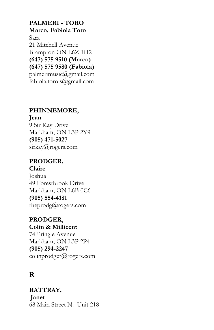**PALMERI - TORO Marco, Fabiola Toro** Sara 21 Mitchell Avenue Brampton ON L6Z 1H2 **(647) 575 9510 (Marco) (647) 575 9580 (Fabiola)** [palmerimusic@gmail.com](mailto:palmerimusic@gmail.com) fabiola.toro.s@gmail.com

### **PHINNEMORE,**

**Jean** 9 Sir Kay Drive Markham, ON L3P 2Y9 **(905) 471-5027** sirkay@rogers.com

#### **PRODGER, Claire**

Joshua 49 Forestbrook Drive Markham, ON L6B 0C6 **(905) 554-4181** theprodg@rogers.com

#### **PRODGER, Colin & Millicent**

74 Pringle Avenue Markham, ON L3P 2P4 **(905) 294-2247** colinprodger@rogers.com

### **R**

 **RATTRAY, Janet** 68 Main Street N. Unit 218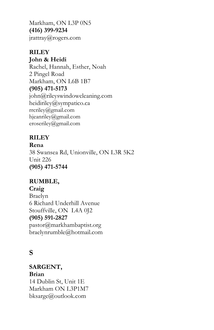Markham, ON L3P 0N5 **(416) 399-9234** jrattray@rogers.com

### **RILEY**

**John & Heidi**

Rachel, Hannah, Esther, Noah 2 Pingel Road Markham, ON L6B 1B7 **(905) 471-5173** john@rileyswindowcleaning.com heidiriley@sympatico.ca [rrcriley@gmail.com](mailto:rrcriley@gmail.com) [hjeanriley@gmail.com](mailto:hjeanriley@gmail.com) eroseriley@gmail.com

### **RILEY**

**Rena** 38 Swansea Rd, Unionville, ON L3R 5K2 Unit 226 **(905) 471-5744**

### **RUMBLE,**

### **Craig**

Braelyn 6 Richard Underhill Avenue Stouffville, ON L4A 0J2 **(905) 591-2827** pastor@markhambaptist.org braelynrumble@hotmail.com

### **S**

 **SARGENT, Brian** 14 Dublin St, Unit 1E Markham ON L3P1M7 bksarge@outlook.com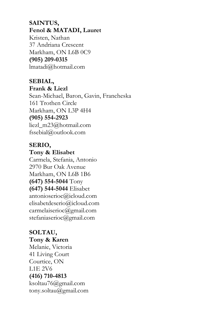#### **SAINTUS, Fenol & MATADI, Lauret**

 Kristen, Nathan 37 Andriana Crescent Markham, ON L6B 0C9  **(905) 209-0315** lmatadi@hotmail.com

### **SEBIAL,**

**Frank & Liezl**  Sean-Michael, Baron, Gavin, Francheska 161 Trothen Circle Markham, ON L3P 4H4 **(905) 554-2923** liezl\_m23@hotmail.com fssebial@outlook.com

### **SERIO,**

**Tony & Elisabet** Carmela, Stefania, Antonio 2970 Bur Oak Avenue Markham, ON L6B 1B6 **(647) 554-5044** Tony **(647) 544-5044** Elisabet antonioserioc@icloud.com elisabetdeserio@icloud.com carmelaiserioc@gmail.com stefaniaserioc@gmail.com

### **SOLTAU,**

#### **Tony & Karen**

Melanie, Victoria 41 Living Court Courtice, ON L1E 2V6 **(416) 710-4813** ksoltau76@gmail.com tony.soltau@gmail.com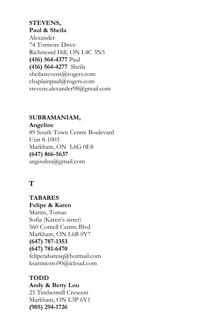#### **STEVENS, Paul & Sheila**

Alexander 74 Tormore Drive Richmond Hill, ON L4C 3N5 **(416) 564-4377** Paul **(416) 564-4277** Sheila sheilastevens@rogers.com chaplainpaul@rogers.com stevens.alexander98@gmail.com

### **SUBRAMANIAM,**

**Angeline**  89 South Town Centre Boulevard Unit 8-1003 Markham, ON L6G 0E8 **(647) 866-5637** angisubra@gmail.com

### **T**

 **TABARES Felipe & Karen** Martin, Tomas Sofia (Karen's sister) 560 Cornell Centre Blvd Markham, ON L6B 0Y7  **(647) 787-1353 (647) 781-6470** [felipetabaresq@hotmail.com](mailto:felipetabaresq@hotmail.com) ksarmiento90@icloud.com

 **TODD Andy & Betty Lou** 25 Timbermill Crescent Markham, ON L3P 6Y1  **(905) 294-1726**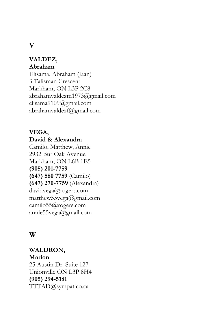### **V**

#### **VALDEZ, Abraham**

Elisama, Abraham (Jaan) 3 Talisman Crescent Markham, ON L3P 2C8 abrahamvaldezm1973@gmail.com elisama9109@gmail.com abrahamvaldezf@gmail.com

#### **VEGA, David & Alexandra**

Camilo, Matthew, Annie 2932 Bur Oak Avenue Markham, ON L6B 1E5 **(905) 201-7759 (647) 580 7759** (Camilo) **(647) 270-7759** (Alexandra) davidvega@rogers.com matthew55vega@gmail.com camilo55@rogers.com annie55vega@gmail.com

### **W**

**WALDRON, Marion** 25 Austin Dr. Suite 127 Unionville ON L3P 8H4 **(905) 294-5181** [TTTAD@sympatico.ca](mailto:TTTAD@sympatico.ca)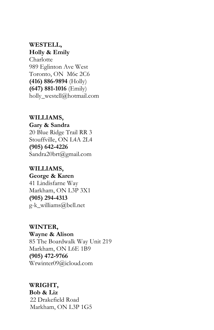### **WESTELL,**

**Holly & Emily**

Charlotte 989 Eglinton Ave West Toronto, ON M6c 2C6 **(416) 886-9894** (Holly) **(647) 881-1016** (Emily) holly\_westell@hotmail.com

**WILLIAMS,**

**Gary & Sandra**

20 Blue Ridge Trail RR 3 Stouffville, ON L4A 2L4 **(905) 642-4226** [Sandra20brt@gmail.com](mailto:Sandra20brt@gmail.com)

### **WILLIAMS,**

**George & Karen** 41 Lindisfarne Way Markham, ON L3P 3X1 **(905) 294-4313** g-k\_williams@bell.net

### **WINTER,**

**Wayne & Alison** 85 The Boardwalk Way Unit 219

Markham, ON L6E 1B9 **(905) 472-9766** Wrwinter09@icloud.com

### **WRIGHT,**

**Bob & Liz** 22 Drakefield Road Markham, ON L3P 1G5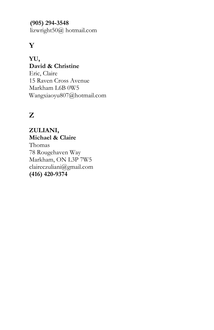**(905) 294-3548**

lizwright50@ hotmail.com

### **Y**

**YU, David & Christine** Eric, Claire 15 Raven Cross Avenue Markham L6B 0W5 [Wangxiaoyu807@hotmail.com](mailto:Wangxiaoyu807@hotmail.com)

### **Z**

**ZULIANI, Michael & Claire** Thomas 78 Rougehaven Way Markham, ON L3P 7W5 claireczuliani@gmail.com **(416) 420-9374**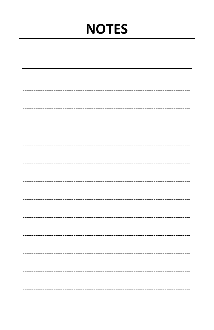# **NOTES**